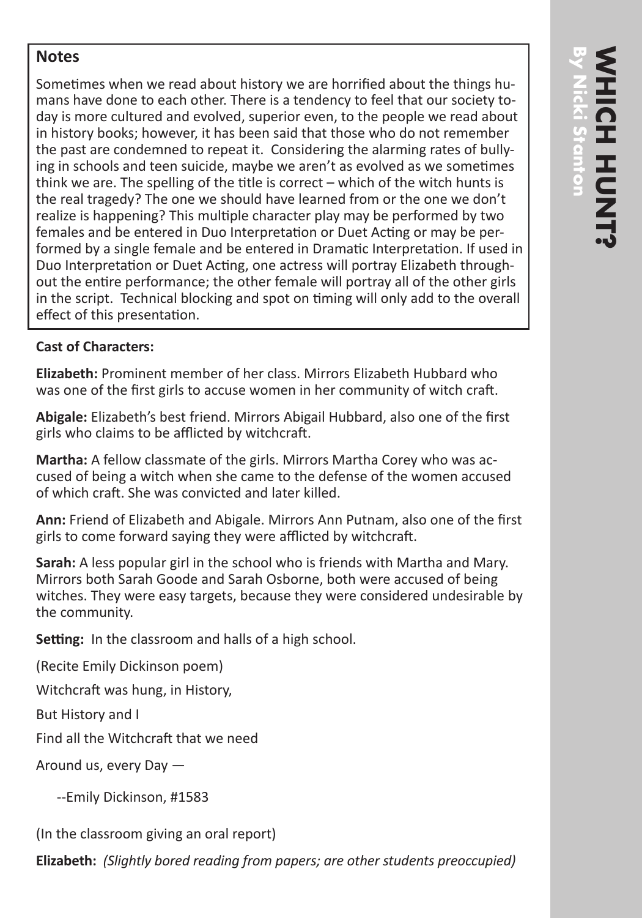## **Notes**

Sometimes when we read about history we are horrified about the things humans have done to each other. There is a tendency to feel that our society today is more cultured and evolved, superior even, to the people we read about in history books; however, it has been said that those who do not remember the past are condemned to repeat it. Considering the alarming rates of bullying in schools and teen suicide, maybe we aren't as evolved as we sometimes think we are. The spelling of the title is correct – which of the witch hunts is the real tragedy? The one we should have learned from or the one we don't realize is happening? This multiple character play may be performed by two females and be entered in Duo Interpretation or Duet Acting or may be performed by a single female and be entered in Dramatic Interpretation. If used in Duo Interpretation or Duet Acting, one actress will portray Elizabeth throughout the entire performance; the other female will portray all of the other girls in the script. Technical blocking and spot on timing will only add to the overall effect of this presentation.

## **Cast of Characters:**

**Elizabeth:** Prominent member of her class. Mirrors Elizabeth Hubbard who was one of the first girls to accuse women in her community of witch craft.

**Abigale:** Elizabeth's best friend. Mirrors Abigail Hubbard, also one of the first girls who claims to be afflicted by witchcraft.

**Martha:** A fellow classmate of the girls. Mirrors Martha Corey who was accused of being a witch when she came to the defense of the women accused of which craft. She was convicted and later killed.

**Ann:** Friend of Elizabeth and Abigale. Mirrors Ann Putnam, also one of the first girls to come forward saying they were afflicted by witchcraft.

**Sarah:** A less popular girl in the school who is friends with Martha and Mary. Mirrors both Sarah Goode and Sarah Osborne, both were accused of being witches. They were easy targets, because they were considered undesirable by the community.

**Setting:** In the classroom and halls of a high school.

(Recite Emily Dickinson poem)

Witchcraft was hung, in History,

But History and I

Find all the Witchcraft that we need

Around us, every Day —

--Emily Dickinson, #1583

(In the classroom giving an oral report)

**Elizabeth:** *(Slightly bored reading from papers; are other students preoccupied)*